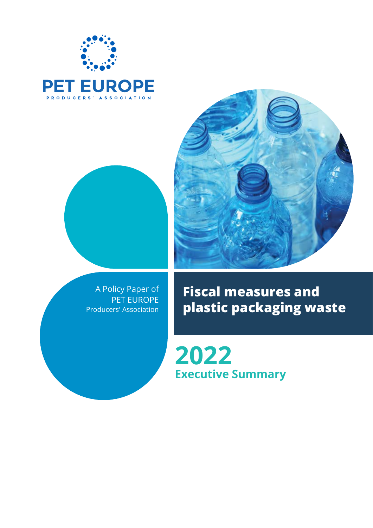



A Policy Paper of PET EUROPE Producers' Association



**Fiscal measures and plastic packaging waste**

**2022 Executive Summary**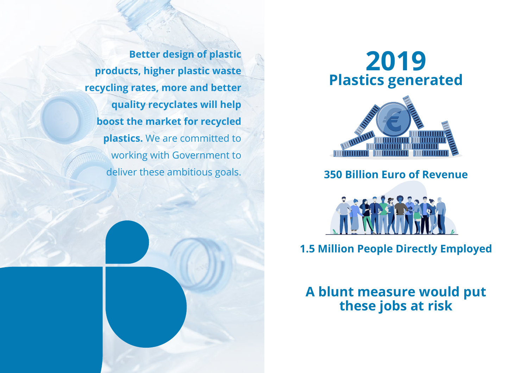**Better design of plastic products, higher plastic waste recycling rates, more and better quality recyclates will help boost the market for recycled plastics.** We are committed to working with Government to deliver these ambitious goals.





**350 Billion Euro of Revenue**



**1.5 Million People Directly Employed**

**A blunt measure would put these jobs at risk**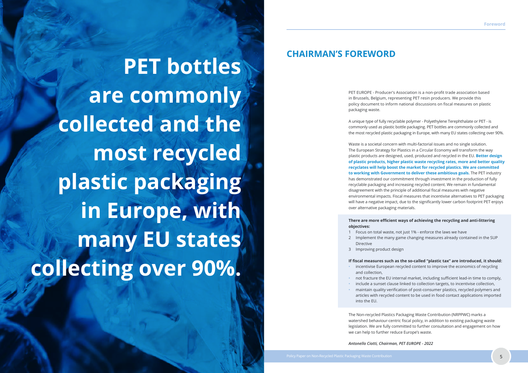# **CHAIRMAN'S FOREWORD**

PET EUROPE - Producer's Association is a non-profit trade association based in Brussels, Belgium, representing PET resin producers. We provide this policy document to inform national discussions on fiscal measures on plastic packaging waste.

A unique type of fully recyclable polymer - Polyethylene Terephthalate or PET - is commonly used as plastic bottle packaging. PET bottles are commonly collected and the most recycled plastic packaging in Europe, with many EU states collecting over 90%.

Waste is a societal concern with multi-factorial issues and no single solution. The European Strategy for Plastics in a Circular Economy will transform the way plastic products are designed, used, produced and recycled in the EU. **Better design of plastic products, higher plastic waste recycling rates, more and better quality recyclates will help boost the market for recycled plastics. We are committed to working with Government to deliver these ambitious goals.** The PET industry has demonstrated our commitment through investment in the production of fully recyclable packaging and increasing recycled content. We remain in fundamental disagreement with the principle of additional fiscal measures with negative environmental impacts. Fiscal measures that incentivise alternatives to PET packaging will have a negative impact, due to the significantly lower carbon footprint PET enjoys over alternative packaging materials.

# **There are more efficient ways of achieving the recycling and anti-littering**

# **objectives:**

1 Focus on total waste, not just 1% - enforce the laws we have 2 Implement the many game changing measures already contained in the SUP

- - Directive
	- 3 Improving product design

**If fiscal measures such as the so-called "plastic tax" are introduced, it should:** • incentivise European recycled content to improve the economics of recycling

- and collection,
- 
- 
- into the EU.

• not fracture the EU internal market, including sufficient lead-in time to comply, • include a sunset clause linked to collection targets, to incentivise collection, • maintain quality verification of post-consumer plastics, recycled polymers and articles with recycled content to be used in food contact applications imported

The Non-recycled Plastics Packaging Waste Contribution (NRPPWC) marks a watershed behaviour-centric fiscal policy, in addition to existing packaging waste legislation. We are fully committed to further consultation and engagement on how we can help to further reduce Europe's waste.

*Antonello Ciotti, Chairman, PET EUROPE - 2022*

**PET bottles are commonly collected and the most recycled plastic packaging in Europe, with**  many EU states **collecting over 90%.**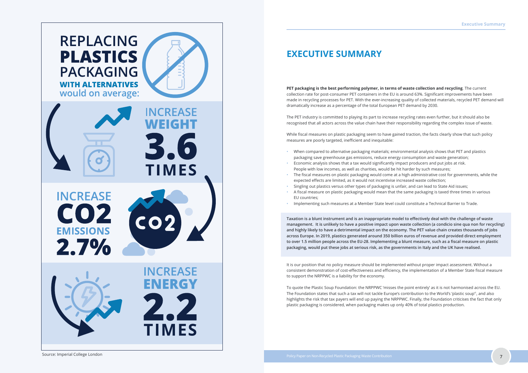

# **EXECUTIVE SUMMARY**

**PET packaging is the best performing polymer, in terms of waste collection and recycling**. The current collection rate for post-consumer PET containers in the EU is around 63%. Significant improvements have been made in recycling processes for PET. With the ever-increasing quality of collected materials, recycled PET demand will dramatically increase as a percentage of the total European PET demand by 2030.

The PET industry is committed to playing its part to increase recycling rates even further, but it should also be recognised that all actors across the value chain have their responsibility regarding the complex issue of waste.

While fiscal measures on plastic packaging seem to have gained traction, the facts clearly show that such policy measures are poorly targeted, inefficient and inequitable:

- When compared to alternative packaging materials; environmental analysis shows that PET and plastics packaging save greenhouse gas emissions, reduce energy consumption and waste generation;
- Economic analysis shows that a tax would significantly impact producers and put jobs at risk. People with low incomes, as well as charities, would be hit harder by such measures;
- The fiscal measures on plastic packaging would come at a high administrative cost for governments, while the expected effects are limited, as it would not incentivise increased waste collection;
- Singling out plastics versus other types of packaging is unfair, and can lead to State Aid issues;
- A fiscal measure on plastic packaging would mean that the same packaging is taxed three times in various EU countries;
- Implementing such measures at a Member State level could constitute a Technical Barrier to Trade.

**Taxation is a blunt instrument and is an inappropriate model to effectively deal with the challenge of waste management. It is unlikely to have a positive impact upon waste collection (a condicio sine qua non for recycling) and highly likely to have a detrimental impact on the economy. The PET value chain creates thousands of jobs across Europe. In 2019, plastics generated around 350 billion euros of revenue and provided direct employment to over 1.5 million people across the EU-28. Implementing a blunt measure, such as a fiscal measure on plastic packaging, would put these jobs at serious risk, as the governments in Italy and the UK have realised.**

It is our position that no policy measure should be implemented without proper impact assessment. Without a consistent demonstration of cost-effectiveness and efficiency, the implementation of a Member State fiscal measure to support the NRPPWC is a liability for the economy.

To quote the Plastic Soup Foundation: the NRPPWC 'misses the point entirely' as it is not harmonised across the EU. The Foundation states that such a tax will not tackle Europe's contribution to the World's 'plastic soup'1, and also highlights the risk that tax payers will end up paying the NRPPWC. Finally, the Foundation criticises the fact that only plastic packaging is considered, when packaging makes up only 40% of total plastics production.

Source: Imperial College London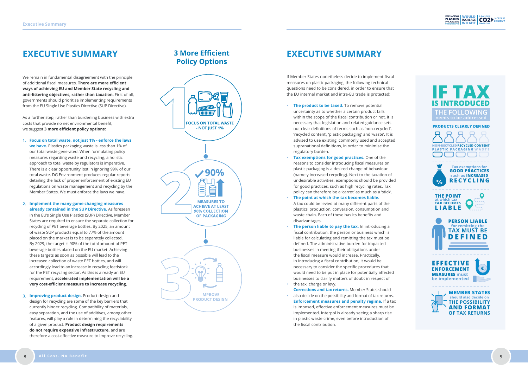We remain in fundamental disagreement with the principle of additional fiscal measures. **There are more efficient ways of achieving EU and Member State recycling and anti-littering objectives, rather than taxation.** First of all, governments should prioritise implementing requirements from the EU Single Use Plastics Directive (SUP Directive).

As a further step, rather than burdening business with extra costs that provide no net environmental benefit, we suggest **3 more efficient policy options:**

If Member States nonetheless decide to implement fiscal measures on plastic packaging, the following technical questions need to be considered, in order to ensure that the EU internal market and intra-EU trade is protected:

- **The product to be taxed.** To remove potential uncertainty as to whether a certain product falls within the scope of the fiscal contribution or not, it is necessary that legislation and related guidance sets out clear definitions of terms such as 'non-recycled', 'recycled content', 'plastic packaging' and 'waste'. It is advised to use existing, commonly used and accepted supranational definitions, in order to minimise the regulatory burden.
- **Tax exemptions for good practices.** One of the reasons to consider introducing fiscal measures on plastic packaging is a desired change of behaviour (namely increased recycling). Next to the taxation of undesirable activities, exemptions should be provided for good practices, such as high recycling rates. Tax policy can therefore be a 'carrot' as much as a 'stick'.
- **The point at which the tax becomes liable.** A tax could be levied at many different parts of the plastics production, conversion, consumption and waste chain. Each of these has its benefits and disadvantages.
- •••••• **The person liable to pay the tax.** In introducing a fiscal contribution, the person or business which is liable for calculating and remitting the tax must be defined. The administrative burden for impacted businesses in meeting their obligations under the fiscal measure would increase. Practically, in introducing a fiscal contribution, it would be necessary to consider the specific procedures that would need to be put in place for potentially affected businesses to clarify matters of doubt in respect of the tax, charge or levy.
- **Corrections and tax returns.** Member States should also decide on the possibility and format of tax returns. **Enforcement measures and penalty regime.** If a tax is imposed, effective enforcement measures must be implemented. Interpol is already seeing a sharp rise in plastic waste crime, even before introduction of the fiscal contribution.

REPLACING WOULD & INCREASE<br>PLASTICS INCREASE CO2

- **1. Focus on total waste, not just 1% enforce the laws we have.** Plastics packaging waste is less than 1% of our total waste generated. When formulating policy measures regarding waste and recycling, a holistic approach to total waste by regulators is imperative. There is a clear opportunity lost in ignoring 99% of our total waste. DG Environment produces regular reports detailing the lack of proper enforcement of existing EU regulations on waste management and recycling by the Member States. We must enforce the laws we have.
- **2. Implement the many game changing measures already contained in the SUP Directive.** As foreseen in the EU's Single Use Plastics (SUP) Directive, Member States are required to ensure the separate collection for recycling of PET beverage bottles. By 2025, an amount of waste SUP products equal to 77% of the amount placed on the market is to be separately collected. By 2029, the target is 90% of the total amount of PET beverage bottles placed on the EU market. Achieving these targets as soon as possible will lead to the increased collection of waste PET bottles, and will accordingly lead to an increase in recycling feedstock for the PET recycling sector. As this is already an EU requirement, **accelerated implementation will be a very cost-efficient measure to increase recycling.**
- **3. Improving product design.** Product design and design for recycling are some of the key barriers that currently hinder recycling. Compatibility of materials, easy separation, and the use of additives, among other features, will play a role in determining the recyclability of a given product. **Product design requirements do not require expensive infrastructure,** and are therefore a cost-effective measure to improve recycling.





# **EXECUTIVE SUMMARY 3 More Efficient EXECUTIVE SUMMARY**

# **Policy Options**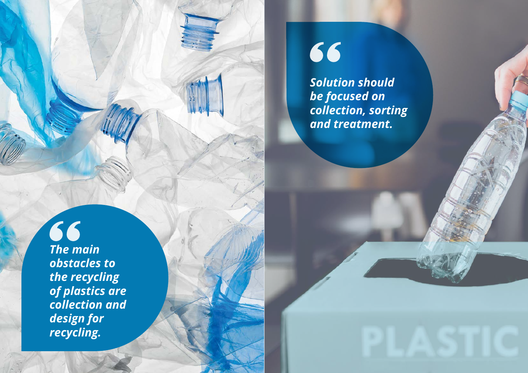*The main obstacles to The main the recycling obstacles to of plastics are the recycling collection and of plastics are design for collection and design for recycling.*



66

*Solution should be focused on collection, sorting and treatment.*